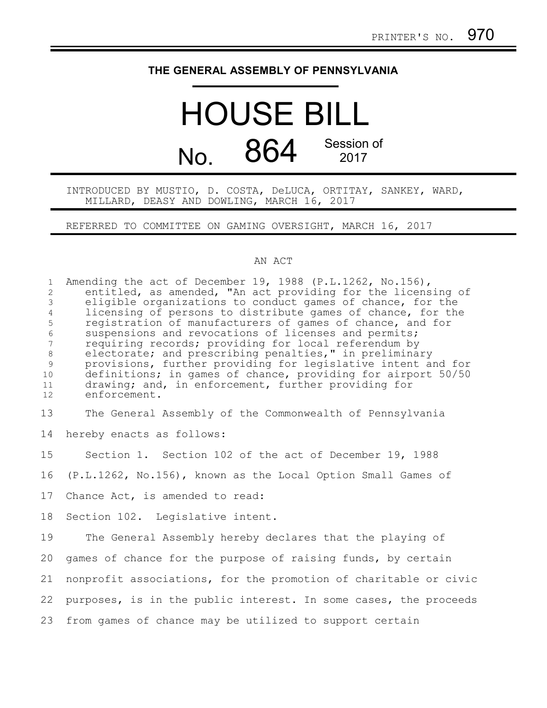## **THE GENERAL ASSEMBLY OF PENNSYLVANIA**

## HOUSE BILL  $N<sub>0</sub>$  864 Session of 2017

INTRODUCED BY MUSTIO, D. COSTA, DeLUCA, ORTITAY, SANKEY, WARD, MILLARD, DEASY AND DOWLING, MARCH 16, 2017

REFERRED TO COMMITTEE ON GAMING OVERSIGHT, MARCH 16, 2017

## AN ACT

Amending the act of December 19, 1988 (P.L.1262, No.156), entitled, as amended, "An act providing for the licensing of eligible organizations to conduct games of chance, for the licensing of persons to distribute games of chance, for the registration of manufacturers of games of chance, and for suspensions and revocations of licenses and permits; requiring records; providing for local referendum by electorate; and prescribing penalties," in preliminary provisions, further providing for legislative intent and for definitions; in games of chance, providing for airport 50/50 drawing; and, in enforcement, further providing for enforcement. The General Assembly of the Commonwealth of Pennsylvania hereby enacts as follows: Section 1. Section 102 of the act of December 19, 1988 (P.L.1262, No.156), known as the Local Option Small Games of Chance Act, is amended to read: Section 102. Legislative intent. The General Assembly hereby declares that the playing of games of chance for the purpose of raising funds, by certain nonprofit associations, for the promotion of charitable or civic purposes, is in the public interest. In some cases, the proceeds from games of chance may be utilized to support certain 1 2 3 4 5 6 7 8 9 10 11 12 13 14 15 16 17 18 19 20 21 22 23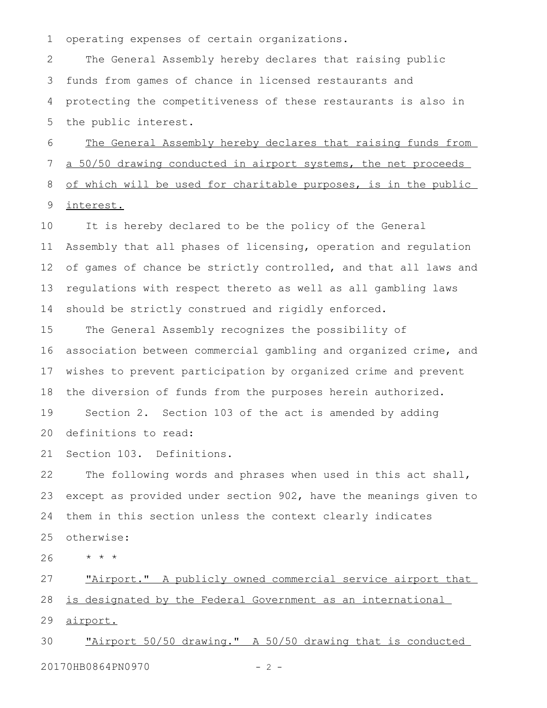operating expenses of certain organizations. 1

The General Assembly hereby declares that raising public funds from games of chance in licensed restaurants and protecting the competitiveness of these restaurants is also in the public interest. 2 3 4 5

The General Assembly hereby declares that raising funds from a 50/50 drawing conducted in airport systems, the net proceeds of which will be used for charitable purposes, is in the public interest. 6 7 8 9

It is hereby declared to be the policy of the General Assembly that all phases of licensing, operation and regulation of games of chance be strictly controlled, and that all laws and regulations with respect thereto as well as all gambling laws should be strictly construed and rigidly enforced. 10 11 12 13 14

The General Assembly recognizes the possibility of association between commercial gambling and organized crime, and wishes to prevent participation by organized crime and prevent the diversion of funds from the purposes herein authorized. Section 2. Section 103 of the act is amended by adding definitions to read: 15 16 17 18 19 20

Section 103. Definitions. 21

The following words and phrases when used in this act shall, except as provided under section 902, have the meanings given to them in this section unless the context clearly indicates otherwise: 22 23 24 25

\* \* \* 26

"Airport." A publicly owned commercial service airport that is designated by the Federal Government as an international airport. 27 28 29

"Airport 50/50 drawing." A 50/50 drawing that is conducted 20170HB0864PN0970 - 2 -30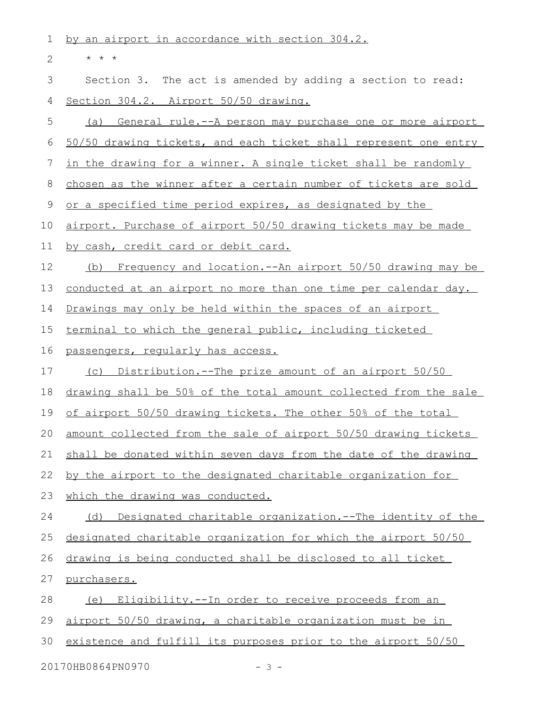by an airport in accordance with section 304.2. \* \* \* Section 3. The act is amended by adding a section to read: Section 304.2. Airport 50/50 drawing. (a) General rule.--A person may purchase one or more airport 50/50 drawing tickets, and each ticket shall represent one entry in the drawing for a winner. A single ticket shall be randomly chosen as the winner after a certain number of tickets are sold or a specified time period expires, as designated by the airport. Purchase of airport 50/50 drawing tickets may be made by cash, credit card or debit card. (b) Frequency and location.--An airport 50/50 drawing may be conducted at an airport no more than one time per calendar day. Drawings may only be held within the spaces of an airport terminal to which the general public, including ticketed passengers, regularly has access. (c) Distribution.--The prize amount of an airport 50/50 drawing shall be 50% of the total amount collected from the sale of airport 50/50 drawing tickets. The other 50% of the total amount collected from the sale of airport 50/50 drawing tickets shall be donated within seven days from the date of the drawing by the airport to the designated charitable organization for which the drawing was conducted. (d) Designated charitable organization.--The identity of the designated charitable organization for which the airport 50/50 drawing is being conducted shall be disclosed to all ticket purchasers. (e) Eligibility.--In order to receive proceeds from an airport 50/50 drawing, a charitable organization must be in existence and fulfill its purposes prior to the airport 50/50 20170HB0864PN0970 - 3 -1 2 3 4 5 6 7 8 9 10 11 12 13 14 15 16 17 18 19 20 21 22 23 24 25 26 27 28 29 30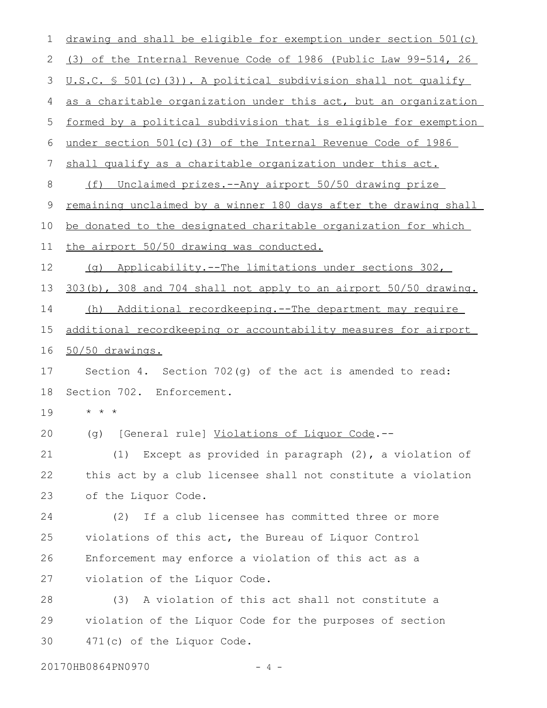| 1  | drawing and shall be eligible for exemption under section 501(c) |
|----|------------------------------------------------------------------|
| 2  | (3) of the Internal Revenue Code of 1986 (Public Law 99-514, 26  |
| 3  | U.S.C. § 501(c)(3)). A political subdivision shall not qualify   |
| 4  | as a charitable organization under this act, but an organization |
| 5  | formed by a political subdivision that is eligible for exemption |
| 6  | under section 501(c)(3) of the Internal Revenue Code of 1986     |
| 7  | shall qualify as a charitable organization under this act.       |
| 8  | (f) Unclaimed prizes.--Any airport 50/50 drawing prize           |
| 9  | remaining unclaimed by a winner 180 days after the drawing shall |
| 10 | be donated to the designated charitable organization for which   |
| 11 | the airport 50/50 drawing was conducted.                         |
| 12 | Applicability.--The limitations under sections 302,<br>(q)       |
| 13 | 303(b), 308 and 704 shall not apply to an airport 50/50 drawing. |
| 14 | Additional recordkeeping.--The department may require<br>(h)     |
| 15 | additional recordkeeping or accountability measures for airport  |
| 16 | 50/50 drawings.                                                  |
| 17 | Section 4. Section $702(q)$ of the act is amended to read:       |
| 18 | Section 702. Enforcement.                                        |
| 19 | * * *                                                            |
| 20 | (g) [General rule] Violations of Liquor Code.--                  |
| 21 | (1)<br>Except as provided in paragraph $(2)$ , a violation of    |
| 22 | this act by a club licensee shall not constitute a violation     |
| 23 | of the Liquor Code.                                              |
| 24 | If a club licensee has committed three or more<br>(2)            |
| 25 | violations of this act, the Bureau of Liquor Control             |
| 26 | Enforcement may enforce a violation of this act as a             |
| 27 | violation of the Liquor Code.                                    |
| 28 | A violation of this act shall not constitute a<br>(3)            |
| 29 | violation of the Liquor Code for the purposes of section         |
| 30 | 471(c) of the Liquor Code.                                       |

20170HB0864PN0970 - 4 -